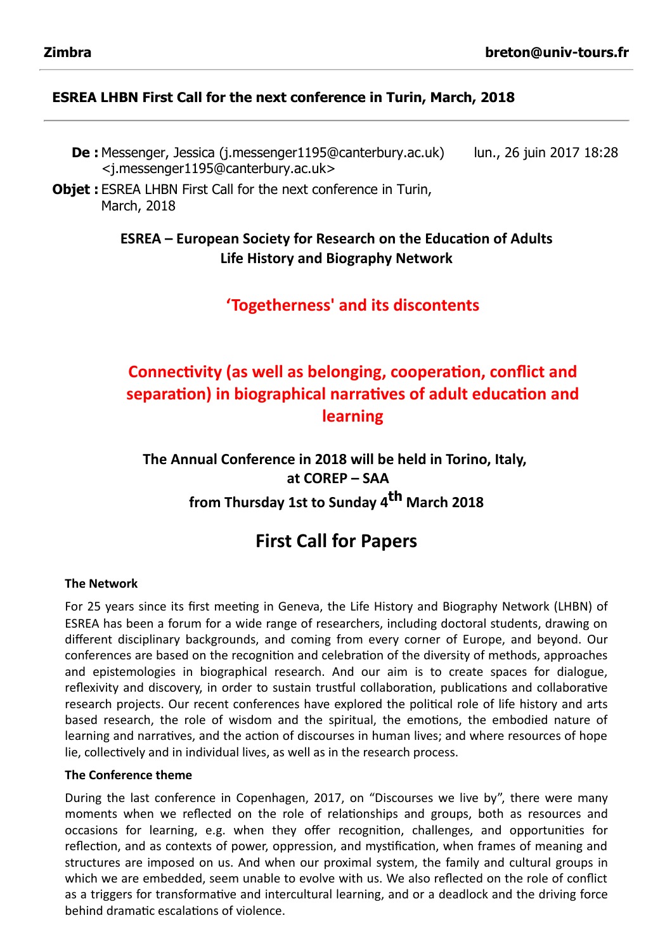### ESREA LHBN First Call for the next conference in Turin, March, 2018

- De : Messenger, Jessica (j.messenger1195@canterbury.ac.uk) <j.messenger1195@canterbury.ac.uk> lun., 26 juin 2017 18:28
- **Objet:** ESREA LHBN First Call for the next conference in Turin, March, 2018

## ESREA – European Society for Research on the Education of Adults Life History and Biography Network

'Togetherness' and its discontents

# Connectivity (as well as belonging, cooperation, conflict and separation) in biographical narratives of adult education and learning

The Annual Conference in 2018 will be held in Torino, Italy, at COREP – SAA from Thursday 1st to Sunday 4<sup>th</sup> March 2018

# First Call for Papers

#### The Network

For 25 years since its first meeting in Geneva, the Life History and Biography Network (LHBN) of ESREA has been a forum for a wide range of researchers, including doctoral students, drawing on different disciplinary backgrounds, and coming from every corner of Europe, and beyond. Our conferences are based on the recognition and celebration of the diversity of methods, approaches and epistemologies in biographical research. And our aim is to create spaces for dialogue, reflexivity and discovery, in order to sustain trustful collaboration, publications and collaborative research projects. Our recent conferences have explored the political role of life history and arts based research, the role of wisdom and the spiritual, the emotions, the embodied nature of learning and narratives, and the action of discourses in human lives; and where resources of hope lie, collectively and in individual lives, as well as in the research process.

#### The Conference theme

During the last conference in Copenhagen, 2017, on "Discourses we live by", there were many moments when we reflected on the role of relationships and groups, both as resources and occasions for learning, e.g. when they offer recognition, challenges, and opportunities for reflection, and as contexts of power, oppression, and mystification, when frames of meaning and structures are imposed on us. And when our proximal system, the family and cultural groups in which we are embedded, seem unable to evolve with us. We also reflected on the role of conflict as a triggers for transformative and intercultural learning, and or a deadlock and the driving force behind dramatic escalations of violence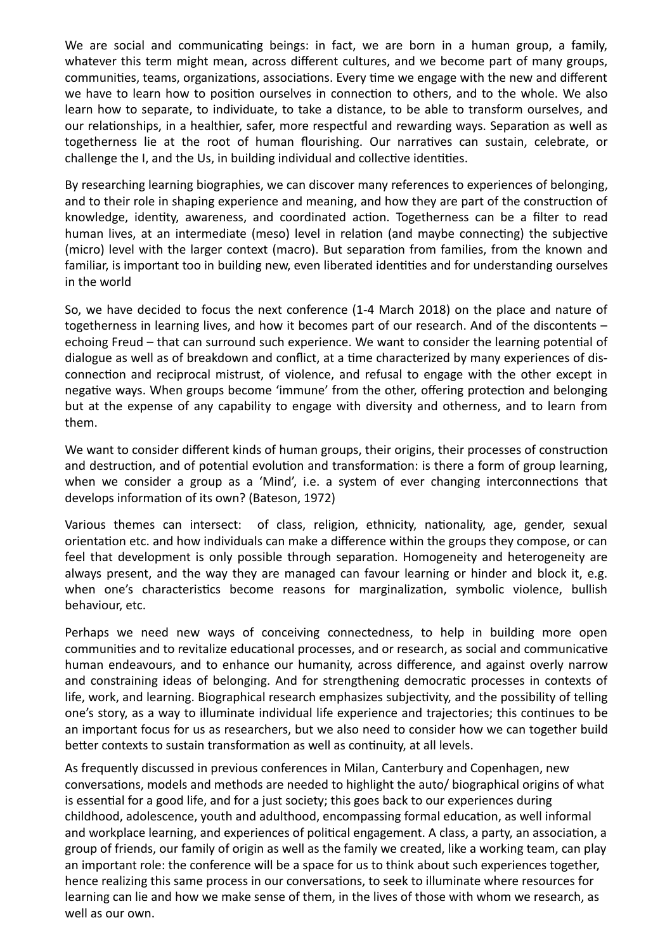We are social and communicating beings: in fact, we are born in a human group, a family, whatever this term might mean, across different cultures, and we become part of many groups, communities, teams, organizations, associations. Every time we engage with the new and different we have to learn how to position ourselves in connection to others, and to the whole. We also learn how to separate, to individuate, to take a distance, to be able to transform ourselves, and our relationships, in a healthier, safer, more respectful and rewarding ways. Separation as well as togetherness lie at the root of human flourishing. Our narratives can sustain, celebrate, or challenge the I, and the Us, in building individual and collective identities.

By researching learning biographies, we can discover many references to experiences of belonging, and to their role in shaping experience and meaning, and how they are part of the construction of knowledge, identity, awareness, and coordinated action. Togetherness can be a filter to read human lives, at an intermediate (meso) level in relation (and maybe connecting) the subjective (micro) level with the larger context (macro). But separation from families, from the known and familiar, is important too in building new, even liberated identities and for understanding ourselves in the world

So, we have decided to focus the next conference (1‐4 March 2018) on the place and nature of togetherness in learning lives, and how it becomes part of our research. And of the discontents – echoing Freud – that can surround such experience. We want to consider the learning potential of dialogue as well as of breakdown and conflict, at a time characterized by many experiences of disconnection and reciprocal mistrust, of violence, and refusal to engage with the other except in negative ways. When groups become 'immune' from the other, offering protection and belonging but at the expense of any capability to engage with diversity and otherness, and to learn from them.

We want to consider different kinds of human groups, their origins, their processes of construction and destruction, and of potential evolution and transformation: is there a form of group learning, when we consider a group as a 'Mind', i.e. a system of ever changing interconnections that develops information of its own? (Bateson, 1972)

Various themes can intersect: of class, religion, ethnicity, nationality, age, gender, sexual orientation etc. and how individuals can make a difference within the groups they compose, or can feel that development is only possible through separation. Homogeneity and heterogeneity are always present, and the way they are managed can favour learning or hinder and block it, e.g. when one's characteristics become reasons for marginalization, symbolic violence, bullish behaviour, etc.

Perhaps we need new ways of conceiving connectedness, to help in building more open communities and to revitalize educational processes, and or research, as social and communicative human endeavours, and to enhance our humanity, across difference, and against overly narrow and constraining ideas of belonging. And for strengthening democratic processes in contexts of life, work, and learning. Biographical research emphasizes subjectivity, and the possibility of telling one's story, as a way to illuminate individual life experience and trajectories; this continues to be an important focus for us as researchers, but we also need to consider how we can together build better contexts to sustain transformation as well as continuity, at all levels.

As frequently discussed in previous conferences in Milan, Canterbury and Copenhagen, new conversations, models and methods are needed to highlight the auto/ biographical origins of what is essential for a good life, and for a just society; this goes back to our experiences during childhood, adolescence, youth and adulthood, encompassing formal education, as well informal and workplace learning, and experiences of political engagement. A class, a party, an association, a group of friends, our family of origin as well as the family we created, like a working team, can play an important role: the conference will be a space for us to think about such experiences together, hence realizing this same process in our conversations, to seek to illuminate where resources for learning can lie and how we make sense of them, in the lives of those with whom we research, as well as our own.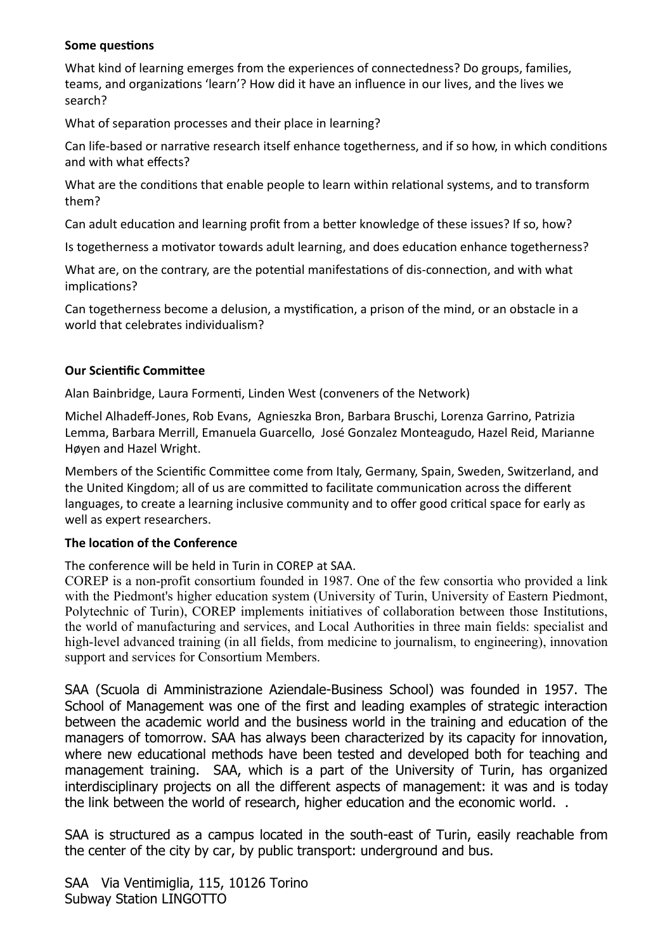#### Some questions

What kind of learning emerges from the experiences of connectedness? Do groups, families, teams, and organizations 'learn'? How did it have an influence in our lives, and the lives we search?

What of separation processes and their place in learning?

Can life-based or narrative research itself enhance togetherness, and if so how, in which conditions and with what effects?

What are the conditions that enable people to learn within relational systems, and to transform them?

Can adult education and learning profit from a better knowledge of these issues? If so, how?

Is togetherness a motivator towards adult learning, and does education enhance togetherness?

What are, on the contrary, are the potential manifestations of dis-connection, and with what implications?

Can togetherness become a delusion, a mystification, a prison of the mind, or an obstacle in a world that celebrates individualism?

#### Our Scientific Committee

Alan Bainbridge, Laura Formenti, Linden West (conveners of the Network)

Michel Alhadeff‐Jones, Rob Evans, Agnieszka Bron, Barbara Bruschi, Lorenza Garrino, Patrizia Lemma, Barbara Merrill, Emanuela Guarcello, José Gonzalez Monteagudo, Hazel Reid, Marianne Høyen and Hazel Wright.

Members of the Scientific Committee come from Italy, Germany, Spain, Sweden, Switzerland, and the United Kingdom; all of us are committed to facilitate communication across the different languages, to create a learning inclusive community and to offer good critical space for early as well as expert researchers.

### The location of the Conference

The conference will be held in Turin in COREP at SAA.

COREP is a non-profit consortium founded in 1987. One of the few consortia who provided a link with the Piedmont's higher education system (University of Turin, University of Eastern Piedmont, Polytechnic of Turin), COREP implements initiatives of collaboration between those Institutions, the world of manufacturing and services, and Local Authorities in three main fields: specialist and high-level advanced training (in all fields, from medicine to journalism, to engineering), innovation support and services for Consortium Members.

SAA (Scuola di Amministrazione Aziendale-Business School) was founded in 1957. The School of Management was one of the first and leading examples of strategic interaction between the academic world and the business world in the training and education of the managers of tomorrow. SAA has always been characterized by its capacity for innovation, where new educational methods have been tested and developed both for teaching and management training. SAA, which is a part of the University of Turin, has organized interdisciplinary projects on all the different aspects of management: it was and is today the link between the world of research, higher education and the economic world. .

SAA is structured as a campus located in the south-east of Turin, easily reachable from the center of the city by car, by public transport: underground and bus.

SAA Via Ventimiglia, 115, 10126 Torino Subway Station LINGOTTO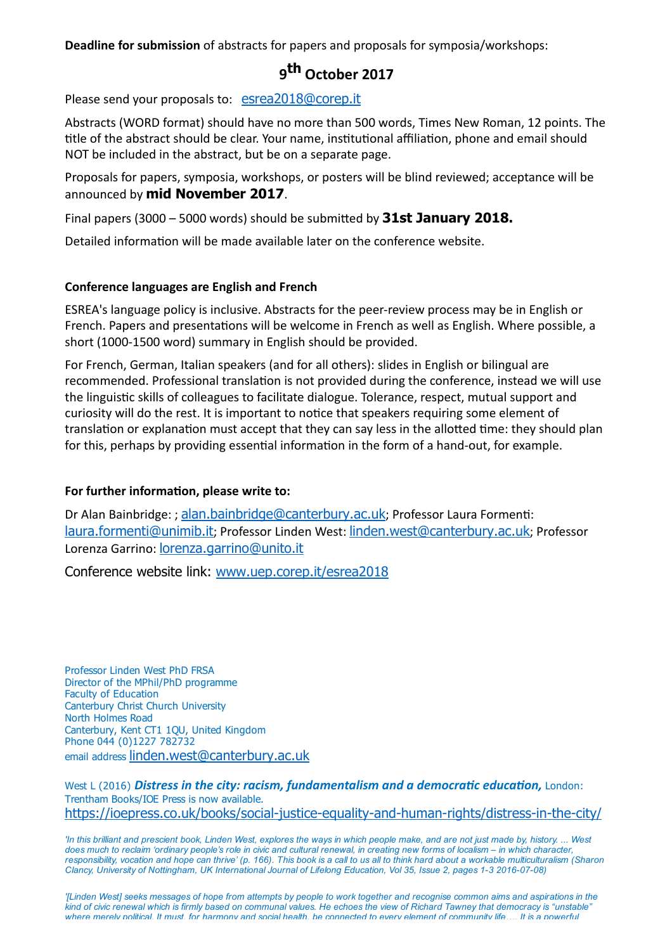Deadline for submission of abstracts for papers and proposals for symposia/workshops:

# 9<sup>th</sup> October 2017

Please send your proposals to: [esrea2018@corep.it](mailto:esrea2018@corep.it)

Abstracts (WORD format) should have no more than 500 words, Times New Roman, 12 points. The title of the abstract should be clear. Your name, institutional affiliation, phone and email should NOT be included in the abstract, but be on a separate page.

Proposals for papers, symposia, workshops, or posters will be blind reviewed; acceptance will be announced by **mid November 2017**.

Final papers (3000 – 5000 words) should be submitted by  $31st$  January 2018.

Detailed information will be made available later on the conference website.

#### Conference languages are English and French

ESREA's language policy is inclusive. Abstracts for the peer‐review process may be in English or French. Papers and presentations will be welcome in French as well as English. Where possible, a short (1000‐1500 word) summary in English should be provided.

For French, German, Italian speakers (and for all others): slides in English or bilingual are recommended. Professional translation is not provided during the conference, instead we will use the linguistic skills of colleagues to facilitate dialogue. Tolerance, respect, mutual support and curiosity will do the rest. It is important to notice that speakers requiring some element of translation or explanation must accept that they can say less in the allotted time: they should plan for this, perhaps by providing essential information in the form of a hand-out, for example.

### For further information, please write to:

Dr Alan Bainbridge: ; [alan.bainbridge@canterbury.ac.uk](mailto:alan.bainbridge@canterbury.ac.uk); Professor Laura Formenti: [laura.formenti@unimib.it](mailto:laura.formenti@unimib.it); Professor Linden West: [linden.west@canterbury.ac.uk](mailto:linden.west@canterbury.ac.uk); Professor Lorenza Garrino: [lorenza.garrino@unito.it](mailto:lorenza.garrino@unito.it)

Conference website link: [www.uep.corep.it/esrea2018](http://www.uep.corep.it/esrea2018)

Professor Linden West PhD FRSA Director of the MPhil/PhD programme Faculty of Education Canterbury Christ Church University North Holmes Road Canterbury, Kent CT1 1QU, United Kingdom Phone 044 (0)1227 782732 email address [linden.west@canterbury.ac.uk](mailto:linden.west@canterbury.ac.uk)

West L (2016) Distress in the city: racism, fundamentalism and a democratic education, London: Trentham Books/IOE Press is now available. https://joepress.co.uk/books/social-justice-equality-and-human-rights/distress-in-the-city/

'In this brilliant and prescient book, Linden West, explores the ways in which people make, and are not just made by, history. ... West does much to reclaim 'ordinary people's role in civic and cultural renewal, in creating new forms of localism – in which character, responsibility, vocation and hope can thrive' (p. 166). This book is a call to us all to think hard about a workable multiculturalism (Sharon Clancy, University of Nottingham, UK International Journal of Lifelong Education, Vol 35, Issue 2, pages 1-3 2016-07-08)

'[Linden West] seeks messages of hope from attempts by people to work together and recognise common aims and aspirations in the kind of civic renewal which is firmly based on communal values. He echoes the view of Richard Tawney that democracy is "unstable" where merely political. It must, for harmony and social health, be connected to every element of community life…. It is a powerful